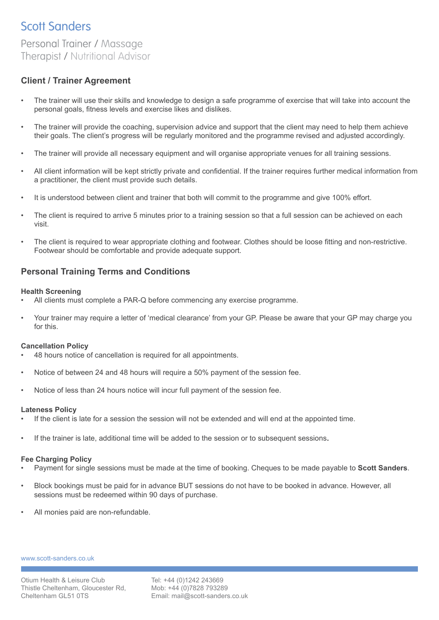## **Scott Sanders** Personal Trainer / Massage Therapist / Nutritional Advisor

## **Client / Trainer Agreement**

- • The trainer will use their skills and knowledge to design a safe programme of exercise that will take into account the personal goals, fitness levels and exercise likes and dislikes.
- The trainer will provide the coaching, supervision advice and support that the client may need to help them achieve their goals. The client's progress will be regularly monitored and the programme revised and adjusted accordingly.
- • The trainer will provide all necessary equipment and will organise appropriate venues for all training sessions.
- All client information will be kept strictly private and confidential. If the trainer requires further medical information from a practitioner, the client must provide such details.
- It is understood between client and trainer that both will commit to the programme and give 100% effort.
- The client is required to arrive 5 minutes prior to a training session so that a full session can be achieved on each visit.
- The client is required to wear appropriate clothing and footwear. Clothes should be loose fitting and non-restrictive. Footwear should be comfortable and provide adequate support.

### **Personal Training Terms and Conditions**

#### **Health Screening**

- All clients must complete a PAR-Q before commencing any exercise programme.
- • Your trainer may require a letter of 'medical clearance' from your GP. Please be aware that your GP may charge you for this.

#### **Cancellation Policy**

- 48 hours notice of cancellation is required for all appointments.
- Notice of between 24 and 48 hours will require a 50% payment of the session fee.
- Notice of less than 24 hours notice will incur full payment of the session fee.

#### **Lateness Policy**

- If the client is late for a session the session will not be extended and will end at the appointed time.
- If the trainer is late, additional time will be added to the session or to subsequent sessions.

#### **Fee Charging Policy**

- Payment for single sessions must be made at the time of booking. Cheques to be made payable to **Scott Sanders**.
- Block bookings must be paid for in advance BUT sessions do not have to be booked in advance. However, all sessions must be redeemed within 90 days of purchase.
- All monies paid are non-refundable.

www.scott-sanders.co.uk